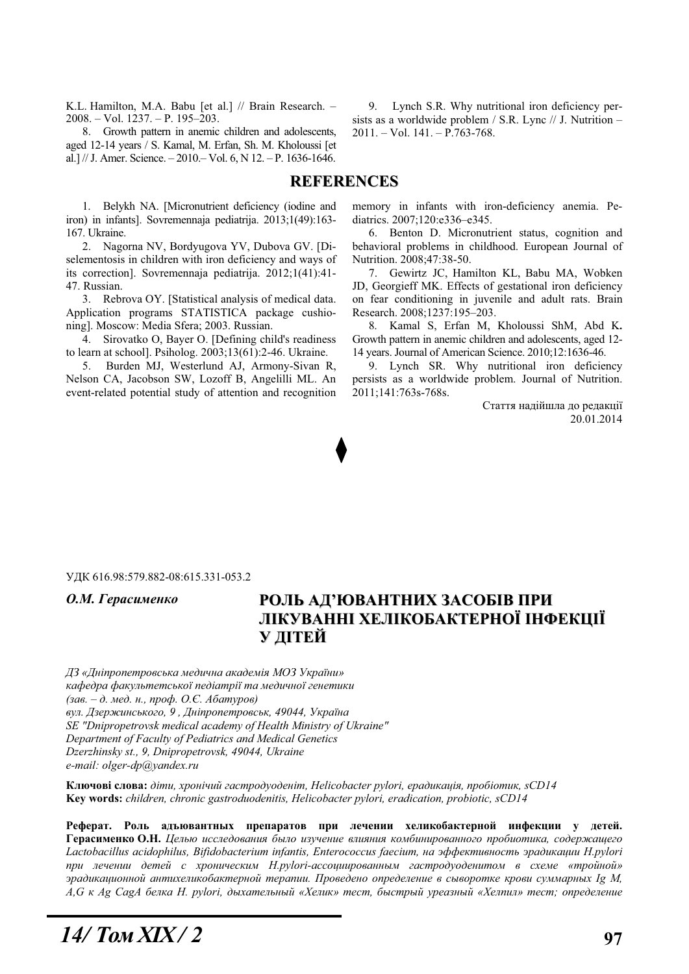K.L. Hamilton, M.A. Babu [et al.] // Brain Research. – 2008. – Vol. 1237. – P. 195–203.

8. Growth pattern in anemic children and adolescents, aged 12-14 years / S. Kamal, M. Erfan, Sh. M. Kholoussi [et al.] // J. Amer. Science.  $-2010 -$  Vol. 6, N 12.  $-$  P. 1636-1646.

9. Lynch S.R. Why nutritional iron deficiency persists as a worldwide problem / S.R. Lync // J. Nutrition –  $2011. - Vol. 141. - P.763-768.$ 

### **REFERENCES**

1. Belykh NA. [Micronutrient deficiency (iodine and iron) in infants]. Sovremennaja pediatrija. 2013;1(49):163- 167. Ukraine.

2. Nagorna NV, Bordyugova YV, Dubova GV. [Diselementosis in children with iron deficiency and ways of its correction]. Sovremennaja pediatrija. 2012;1(41):41- 47. Russian.

3. Rebrova OY. [Statistical analysis of medical data. Application programs STATISTICA package cushioning]. Moscow: Media Sfera; 2003. Russian.

4. Sirovatko O, Bayer O. [Defining child's readiness to learn at school]. Psiholog. 2003;13(61):2-46. Ukraine.

5. Burden MJ, Westerlund AJ, Armony-Sivan R, Nelson CA, Jacobson SW, Lozoff B, Angelilli ML. An event-related potential study of attention and recognition memory in infants with iron-deficiency anemia. Pediatrics. 2007;120:e336–e345.

6. Benton D. Micronutrient status, cognition and behavioral problems in childhood. European Journal of Nutrition. 2008;47:38-50.

7. Gewirtz JC, Hamilton KL, Babu MA, Wobken JD, Georgieff MK. Effects of gestational iron deficiency on fear conditioning in juvenile and adult rats. Brain Research. 2008;1237:195–203.

8. Kamal S, Erfan M, Kholoussi ShM, Abd K**.** Growth pattern in anemic children and adolescents, aged 12- 14 years. Journal of American Science. 2010;12:1636-46.

9. Lynch SR. Why nutritional iron deficiency persists as a worldwide problem. Journal of Nutrition. 2011;141:763s-768s.

> Стаття надійшла до редакції 20.01.2014

#### ɍȾɄ 616.98:579.882-08:615.331-053.2

# О.М. Герасименко РОЛЬ АД'ЮВАНТНИХ ЗАСОБІВ ПРИ **ЛІКУВАННІ ХЕЛІКОБАКТЕРНОЇ ІНФЕКЦІЇ ɍ ȾȱɌȿɃ**

 $\Box$ 3 «Дніпропетровська медична академія МОЗ України» кафедра факультетської педіатрії та медичної генетики (зав. – д. мед. н., проф. О.Є. Абатуров)  $g_{y\pi}$ . Дзержинського, 9, Дніпропетровськ, 49044, Україна *SE "Dnipropetrovsk medical academy of Health Ministry of Ukraine" Department of Faculty of Pediatrics and Medical Genetics Dzerzhinsky st., 9, Dnipropetrovsk, 49044, Ukraine e-mail: olger-dp@yandex.ru* 

**Ʉɥɸɱɨɜɿ ɫɥɨɜɚ:** *ɞɿɬɢ, ɯɪɨɧɿɱɢɣ ɝɚɫɬɪɨɞɭɨɞɟɧɿɬ, Helicobacter pylori, ɟɪɚɞɢɤɚɰɿɹ, ɩɪɨɛɿɨɬɢɤ, sCD14* **Key words:** *children, chronic gastroduodenitis, Helicobacter pylori, eradication, probiotic, sCD14* 

Реферат. Роль адъювантных препаратов при лечении хеликобактерной инфекции у детей. Герасименко О.Н. Целью исследования было изучение влияния комбинированного пробиотика, содержащего Lactobacillus acidophilus, Bifidobacterium infantis, Enterococcus faecium, на эффективность эрадикации H.pylori при лечении детей с хроническим H.pylori-ассоциированным гастродуоденитом в схеме «тройной» зрадикационной антихеликобактерной терапии. Проведено определение в сыворотке крови суммарных Ig M, А, G к Ag CagA белка H. pylori, дыхательный «Хелик» тест, быстрый уреазный «Хелпил» тест; определение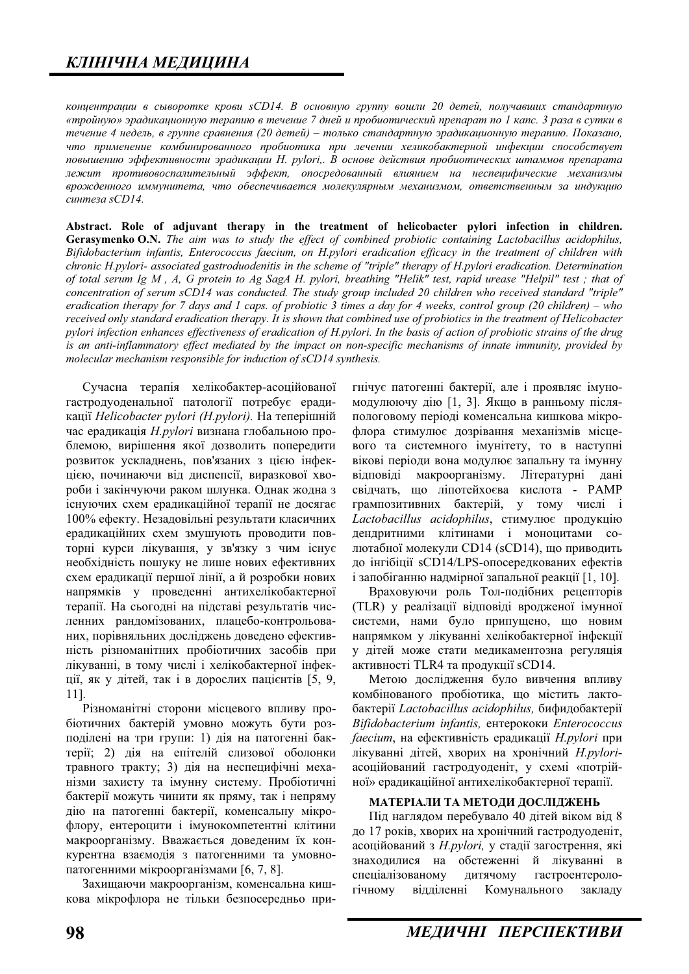концентрации в сыворотке крови sCD14. В основную группу вошли 20 детей, получавших стандартную *«ɬɪɨɣɧɭɸ» ɷɪɚɞɢɤɚɰɢɨɧɧɭɸ ɬɟɪɚɩɢɸ ɜ ɬɟɱɟɧɢɟ 7 ɞɧɟɣ ɢ ɩɪɨɛɢɨɬɢɱɟɫɤɢɣ ɩɪɟɩɚɪɚɬ ɩɨ 1 ɤɚɩɫ. 3 ɪɚɡɚ ɜ ɫɭɬɤɢ ɜ*  $m$ ечение 4 недель, в группе сравнения (20 детей) – только стандартную эрадикационную терапию. Показано, что применение комбинированного пробиотика при лечении хеликобактерной инфекции способствует noвышению эффективности эрадикации H. pylori,. В основе действия пробиотических штаммов препарата лежит противовоспалительный эффект, опосредованный влиянием на неспецифические механизмы врожденного иммунитета, что обеспечивается молекулярным механизмом, ответственным за индукцию  $<sup>1</sup>$ *cunmeza* sCD14.</sup>

**Abstract. Role of adjuvant therapy in the treatment of helicobacter pylori infection in children. Gerasymenko O.N.** *The aim was to study the effect of combined probiotic containing Lactobacillus acidophilus, Bifidobacterium infantis, Enterococcus faecium, on H.pylori eradication efficacy in the treatment of children with chronic H.pylori- associated gastroduodenitis in the scheme of "triple" therapy of H.pylori eradication. Determination of total serum Ig M , A, G protein to Ag SagA H. pylori, breathing "Helik" test, rapid urease "Helpil" test ; that of concentration of serum sCD14 was conducted. The study group included 20 children who received standard "triple" eradication therapy for 7 days and 1 caps. of probiotic 3 times a day for 4 weeks, control group (20 children) – who received only standard eradication therapy. It is shown that combined use of probiotics in the treatment of Helicobacter pylori infection enhances effectiveness of eradication of H.pylori. In the basis of action of probiotic strains of the drug*  is an anti-inflammatory effect mediated by the impact on non-specific mechanisms of innate immunity, provided by *molecular mechanism responsible for induction of sCD14 synthesis.* 

Сучасна терапія хелікобактер-асоційованої гастродуоденальної патології потребує ерадикації *Helicobacter pylori (H.pylori)*. На теперішній час ерадикація *H.pylori* визнана глобальною проблемою, вирішення якої дозволить попередити розвиток ускладнень, пов'язаних з цією інфекцією, починаючи від диспепсії, виразкової хвороби і закінчуючи раком шлунка. Однак жодна з існуючих схем ерадикаційної терапії не досягає 100% ефекту. Незадовільні результати класичних ерадикаційних схем змушують проводити повторні курси лікування, у зв'язку з чим існує необхідність пошуку не лише нових ефективних схем ераликації першої лінії, а й розробки нових напрямків у проведенні антихелікобактерної терапії. На сьогодні на підставі результатів численних рандомізованих, плацебо-контрольованих, порівняльних досліджень доведено ефективність різноманітних пробіотичних засобів при лікуванні, в тому числі і хелікобактерної інфекції, як у дітей, так і в дорослих пацієнтів [5, 9, 11].

Різноманітні сторони місцевого впливу пробіотичних бактерій умовно можуть бути розподілені на три групи: 1) дія на патогенні бактерії; 2) дія на епітелій слизової оболонки травного тракту; 3) дія на неспецифічні механізми захисту та імунну систему. Пробіотичні бактерії можуть чинити як пряму, так і непряму дію на патогенні бактерії, коменсальну мікрофлору, ентероцити і імунокомпетентні клітини макроорганізму. Вважається доведеним їх конкурентна взаємодія з патогенними та умовнопатогенними мікроорганізмами [6, 7, 8].

Захищаючи макроорганізм, коменсальна кишкова мікрофлора не тільки безпосередньо пригнічує патогенні бактерії, але і проявляє імуномодулюючу дію [1, 3]. Якщо в ранньому післяпологовому періоді коменсальна кишкова мікрофлора стимулює дозрівання механізмів місцевого та системного імунітету, то в наступні вікові періоди вона модулює запальну та імунну відповіді макроорганізму. Літературні дані свідчать, що ліпотейхоєва кислота - PAMP грампозитивних бактерій, у тому числі і Lactobacillus acidophilus, стимулює продукцію дендритними клітинами і моноцитами солютабної молекули CD14 (sCD14), що приводить до інгібіції sCD14/LPS-опосередкованих ефектів і запобіганню налмірної запальної реакції [1, 10].

Враховуючи роль Тол-подібних рецепторів (TLR) у реалізації відповіді вродженої імунної системи, нами було припущено, що новим напрямком у лікуванні хелікобактерної інфекції у дітей може стати медикаментозна регуляція активності TLR4 та продукції sCD14.

Метою дослідження було вивчення впливу комбінованого пробіотика, що містить лактобактерії Lactobacillus acidophilus, бифидобактерії *Bifidobacterium infantis, ентерококи Enterococcus* faecium, на ефективність ерадикації *H.pylori* при лікуванні дітей, хворих на хронічний H.pyloriасоційований гастродуоденіт, у схемі «потрійної» ерадикаційної антихелікобактерної терапії.

#### МАТЕРІАЛИ ТА МЕТОДИ ДОСЛІДЖЕНЬ

Під наглядом перебувало 40 дітей віком від 8 до 17 років, хворих на хронічний гастродуоденіт, асоційований з H.pylori, у стадії загострення, які знаходилися на обстеженні й лікуванні в спеціалізованому дитячому гастроентерологічному відділенні Комунального закладу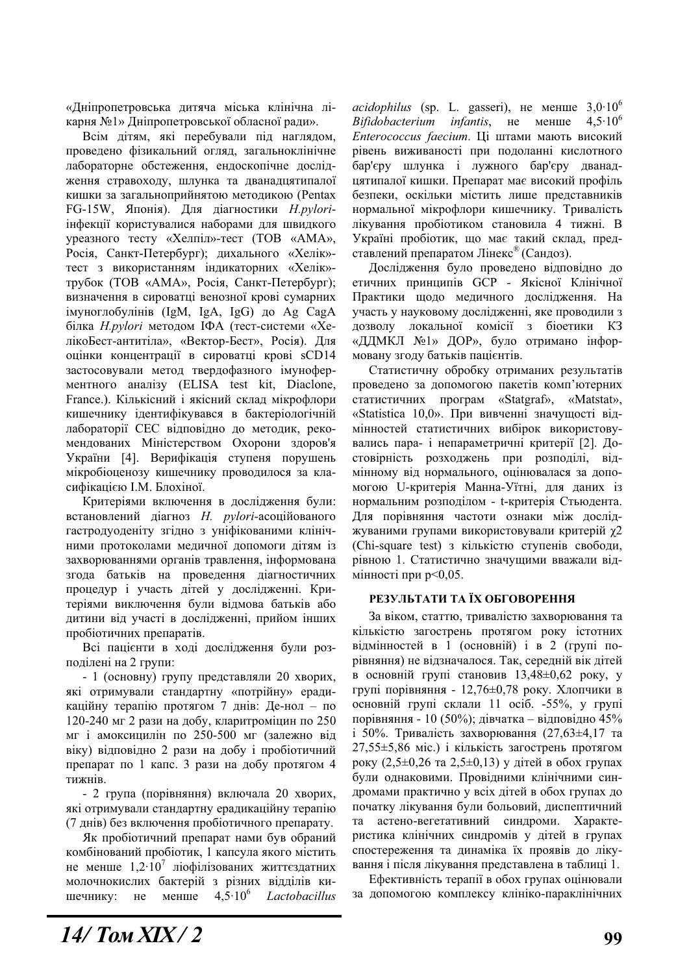«Дніпропетровська дитяча міська клінічна лікарня №1» Дніпропетровської обласної ради».

Всім дітям, які перебували під наглядом, проведено фізикальний огляд, загальноклінічне лабораторне обстеження, ендоскопічне дослідження стравоходу, шлунка та дванадцятипалої кишки за загальноприйнятою методикою (Pentax FG-15W, Японія). Для діагностики *H.pylori*інфекції користувалися наборами для швидкого уреазного тесту «Хелпіл»-тест (ТОВ «АМА», Росія, Санкт-Петербург); дихального «Хелік»тест з використанням індикаторних «Хелік»трубок (ТОВ «АМА», Росія, Санкт-Петербург); визначення в сироватці венозної крові сумарних iмуноглобулiнiв (IgM, IgA, IgG) до Ag CagA білка *H.pylori* методом IФА (тест-системи «ХелікоБест-антитіла», «Вектор-Бест», Росія). Для оцінки концентрації в сироватці крові sCD14 застосовували метод твердофазного імуноферментного аналізу (ELISA test kit, Diaclone, France.). Кількісний і якісний склад мікрофлори кишечнику ідентифікувався в бактеріологічній лабораторії СЕС відповідно до методик, рекомендованих Міністерством Охорони здоров'я України [4]. Верифікація ступеня порушень мікробіоценозу кишечнику проводилося за класифікацією І.М. Блохіної.

Критеріями включення в дослідження були: встановлений діагноз *H. pylori-*асоційованого гастродуоденіту згідно з уніфікованими клінічними протоколами медичної допомоги дітям із захворюваннями органів травлення, інформована згода батьків на проведення діагностичних процедур і участь дітей у дослідженні. Критеріями виключення були відмова батьків або дитини від участі в дослідженні, прийом інших пробіотичних препаратів.

Всі пацієнти в ході дослідження були розподілені на 2 групи:

- 1 (основну) групу представляли 20 хворих, які отримували стандартну «потрійну» ерадикаційну терапію протягом 7 днів: Де-нол – по 120-240 мг 2 рази на добу, кларитроміцин по 250 мг і амоксицилін по 250-500 мг (залежно від віку) відповідно 2 рази на добу і пробіотичний препарат по 1 капс. 3 рази на добу протягом 4 тижнів.

- 2 група (порівняння) включала 20 хворих, які отримували стандартну ерадикаційну терапію (7 днів) без включення пробіотичного препарату.

Як пробіотичний препарат нами був обраний комбінований пробіотик, 1 капсула якого містить не менше  $1,2.10^7$  ліофілізованих життєздатних молочнокислих бактерій з різних відділів киɲɟɱɧɢɤɭ: ɧɟ ɦɟɧɲɟ 4,5·106 *Lactobacillus*  $acidophilus$  (sp. L. gasseri), не менше  $3,0.10^6$ *Bifidobacterium infantis*, не менше 4,5·10<sup>6</sup> *Enterococcus faecium*. Ці штами мають високий рівень виживаності при подоланні кислотного бар'єру шлунка і лужного бар'єру дванадцятипалої кишки. Препарат має високий профіль безпеки, оскільки містить лише представників нормальної мікрофлори кишечнику. Тривалість лікування пробіотиком становила 4 тижні. В Україні пробіотик, що має такий склад, представлений препаратом Лінекс® (Сандоз).

Дослідження було проведено відповідно до етичних принципів GCP - Якісної Клінічної Практики щодо медичного дослідження. На участь у науковому дослідженні, яке проводили з дозволу локальної комісії з біоетики КЗ «ДДМКЛ №1» ДОР», було отримано інформовану згоду батьків пацієнтів.

Статистичну обробку отриманих результатів проведено за допомогою пакетів комп'ютерних статистичних програм «Statgraf», «Matstat», «Statistica 10,0». При вивченні значущості відмінностей статистичних вибірок використовувались пара- і непараметричні критерії [2]. Достовірність розходжень при розподілі, відмінному від нормального, оцінювалася за допомогою U-критерія Манна-Уїтні, для даних із нормальним розподілом - t-критерія Стьюдента. Для порівняння частоти ознаки між дослідҗуваними групами використовували критерій χ2 (Chi-square test) з кількістю ступенів свободи, рівною 1. Статистично значущими вважали відмінності при  $p<0.05$ .

## РЕЗУЛЬТАТИ ТА ЇХ ОБГОВОРЕННЯ

За віком, статтю, тривалістю захворювання та кількістю загострень протягом року істотних відмінностей в 1 (основній) і в 2 (групі порівняння) не відзначалося. Так, середній вік дітей в основній групі становив 13,48±0,62 року, у групі порівняння - 12,76±0,78 року. Хлопчики в основній групі склали 11 ociб. -55%, у групі порівняння - 10 (50%); дівчатка – відповідно 45% і 50%. Тривалість захворювання  $(27,63\pm4,17)$  та  $27,55\pm5,86$  міс.) і кількість загострень протягом року (2,5 $\pm$ 0,26 та 2,5 $\pm$ 0,13) у дітей в обох групах були однаковими. Провідними клінічними синдромами практично у всіх літей в обох групах до початку лікування були больовий, диспептичний та астено-вегетативний синдроми. Характеристика клінічних синдромів у дітей в групах спостереження та динаміка їх проявів до лікування і після лікування представлена в таблиці 1.

Ефективність терапії в обох групах оцінювали за допомогою комплексу клініко-параклінічних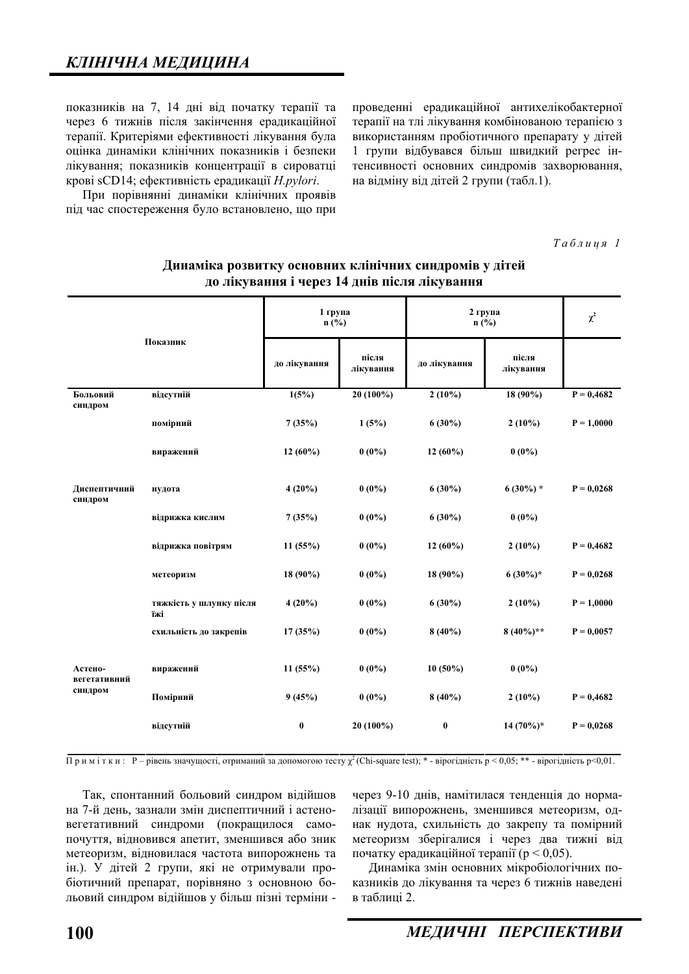показників на 7, 14 дні від початку терапії та через 6 тижнів після закінчення ерадикаційної терапії. Критеріями ефективності лікування була оцінка динаміки клінічних показників і безпеки лікування; показників концентрації в сироватці крові sCD14; ефективність ерадикації *H.pylori*.

При порівнянні динаміки клінічних проявів піл час спостереження було встановлено, що при проведенні ерадикаційної антихелікобактерної терапії на тлі лікування комбінованою терапією з використанням пробіотичного препарату у дітей 1 групи відбувався більш швидкий регрес інтенсивності основних синдромів захворювання, на відміну від дітей 2 групи (табл.1).

 $Ta6\n$ <sub>µ</sub>\n<sub>µ</sub>\n<sub>q</sub>\n<sub>q</sub>\n<sub>l</sub></sub>

| Показник                           |                                | 1 група<br>$n$ (%) |                    | 2 група<br>$n$ (%) |                    | $\chi^2$     |
|------------------------------------|--------------------------------|--------------------|--------------------|--------------------|--------------------|--------------|
|                                    |                                | до лікування       | після<br>лікування | до лікування       | після<br>лікування |              |
| Больовий<br>синдром                | відсутній                      | 1(5%)              | 20 (100%)          | $2(10\%)$          | 18 (90%)           | $P = 0,4682$ |
|                                    | помірний                       | 7(35%)             | 1(5%)              | $6(30\%)$          | $2(10\%)$          | $P = 1,0000$ |
|                                    | виражений                      | $12(60\%)$         | $0(0\%)$           | $12(60\%)$         | $0(0\%)$           |              |
| Диспептичний<br>синдром            | нудота                         | $4(20\%)$          | $0(0\%)$           | $6(30\%)$          | $6(30\%) *$        | $P = 0,0268$ |
|                                    | відрижка кислим                | 7(35%)             | $0(0\%)$           | $6(30\%)$          | $0(0\%)$           |              |
|                                    | відрижка повітрям              | 11(55%)            | $0(0\%)$           | $12(60\%)$         | $2(10\%)$          | $P = 0,4682$ |
|                                    | метеоризм                      | $18(90\%)$         | $0(0\%)$           | 18 (90%)           | $6(30\%)*$         | $P = 0,0268$ |
|                                    | тяжкість у шлунку після<br>їжі | $4(20\%)$          | $0(0\%)$           | $6(30\%)$          | $2(10\%)$          | $P = 1,0000$ |
|                                    | схильність до закрепів         | 17(35%)            | $0(0\%)$           | $8(40\%)$          | $8(40\%)**$        | $P = 0,0057$ |
| Астено-<br>вегетативний<br>синдром | виражений                      | 11(55%)            | $0(0\%)$           | $10(50\%)$         | $0(0\%)$           |              |
|                                    | Помірний                       | 9(45%)             | $0(0\%)$           | $8(40\%)$          | $2(10\%)$          | $P = 0,4682$ |
|                                    | відсутній                      | $\bf{0}$           | $20(100\%)$        | $\bf{0}$           | $14(70\%)*$        | $P = 0,0268$ |

### Динаміка розвитку основних клінічних синдромів у дітей до лікування і через 14 днів після лікування

Примітки: Р – рівень значущості, отриманий за допомогою тесту  $\chi^2$  (Chi-square test); \* - вірогідність р < 0,05; \*\* - вірогідність р < 0,01.

Так, спонтанний больовий синдром відійшов на 7-й день, зазнали змін диспептичний і астеновегетативний синдроми (покращилося самопочуття, відновився апетит, зменшився або зник метеоризм, відновилася частота випорожнень та iн.). У дітей 2 групи, які не отримували пробіотичний препарат, порівняно з основною больовий синдром відійшов у більш пізні терміни - через 9-10 днів, намітилася тенденція до нормалізації випорожнень, зменшився метеоризм, однак нудота, схильність до закрепу та помірний метеоризм зберігалися і через два тижні від початку ерадикаційної терапії (р < 0,05).

Динаміка змін основних мікробіологічних показників до лікування та через 6 тижнів наведені  $\overline{R}$  таблині 2.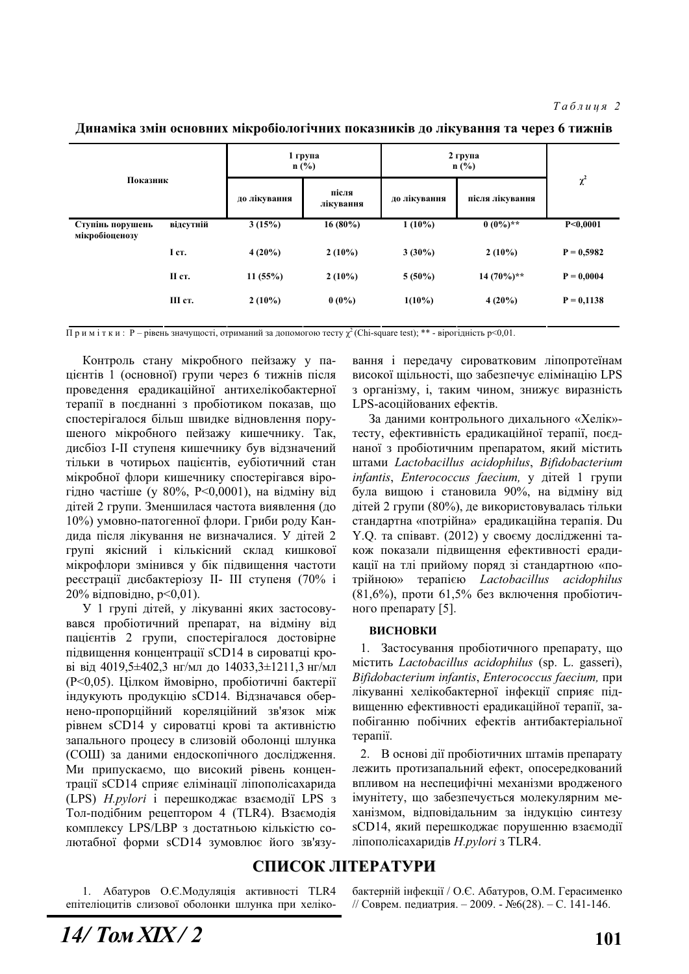Динаміка змін основних мікробіологічних показників до лікування та через 6 тижнів

| Показник                           |           | 1 група<br>$n$ (%) |                    | 2 група<br>$n$ (%) |                 |              |
|------------------------------------|-----------|--------------------|--------------------|--------------------|-----------------|--------------|
|                                    |           | до лікування       | після<br>лікування | до лікування       | після лікування | $\chi^2$     |
| Ступінь порушень<br>мікробіоценозу | відсутній | 3(15%)             | $16(80\%)$         | $1(10\%)$          | $0(0\%)**$      | P<0,0001     |
|                                    | I ct.     | $4(20\%)$          | $2(10\%)$          | $3(30\%)$          | $2(10\%)$       | $P = 0,5982$ |
|                                    | II cr.    | 11(55%)            | $2(10\%)$          | $5(50\%)$          | $14(70\%)**$    | $P = 0,0004$ |
|                                    | III ст.   | $2(10\%)$          | $0(0\%)$           | $1(10\%)$          | $4(20\%)$       | $P = 0,1138$ |

Примітки: P – рівень значущості, отриманий за допомогою тесту  $\chi^2$  (Chi-square test); \*\* - вірогідність p<0,01.

Контроль стану мікробного пейзажу у пацієнтів 1 (основної) групи через 6 тижнів після проведення ерадикаційної антихелікобактерної терапії в поєднанні з пробіотиком показав, що спостерігалося більш швидке відновлення порушеного мікробного пейзажу кишечнику. Так, дисбіоз I-II ступеня кишечнику був відзначений тільки в чотирьох пацієнтів, еубіотичний стан мікробної флори кишечнику спостерігався вірогідно частіше (у 80%, P<0,0001), на відміну від дітей 2 групи. Зменшилася частота виявлення (до 10%) умовно-патогенної флори. Гриби роду Кандида після лікування не визначалися. У дітей 2 групі якісний і кількісний склад кишкової мікрофлори змінився у бік підвищення частоти реєстрації дисбактеріозу II- III ступеня (70% і 20% відповідно, p<0,01).

У 1 групі дітей, у лікуванні яких застосовувався пробіотичний препарат, на відміну від пацієнтів 2 групи, спостерігалося достовірне підвищення концентрації sCD14 в сироватці крові від 4019,5 $\pm$ 402,3 нг/мл до 14033,3 $\pm$ 1211,3 нг/мл (P<0,05). Цілком ймовірно, пробіотичні бактерії індукують продукцію sCD14. Відзначався обернено-пропорційний кореляційний зв'язок між рівнем sCD14 у сироватці крові та активністю запального процесу в слизовій оболонці шлунка (СОШ) за даними ендоскопічного дослідження. Ми припускаємо, що високий рівень концентрації sCD14 сприяє елімінації ліпополісахарида (LPS) *H.pylori* і перешкоджає взаємодії LPS з Тол-подібним рецептором 4 (TLR4). Взаємодія комплексу LPS/LBP з достатньою кількістю солютабної форми sCD14 зумовлює його зв'язування і передачу сироватковим ліпопротеїнам високої щільності, що забезпечує елімінацію LPS з організму, і, таким чином, знижує виразність LPS-асоційованих ефектів.

За даними контрольного дихального «Хелік»тесту, ефективність ерадикаційної терапії, поєднаної з пробіотичним препаратом, який містить ɲɬɚɦɢ *Lactobacillus acidophilus*, *Bifidobacterium infantis*, *Enterococcus faecium*, у дітей 1 групи була вищою і становила 90%, на відміну від дітей 2 групи (80%), де використовувалась тільки стандартна «потрійна» ерадикаційна терапія. Du Y.Q. та співавт. (2012) у своєму дослідженні також показали підвищення ефективності ерадикації на тлі прийому поряд зі стандартною «потрійною» терапією *Lactobacillus acidophilus*  $(81,6\%)$ , проти 61,5% без включення пробіотичного препарату  $[5]$ .

#### **ВИСНОВКИ**

1. Застосування пробіотичного препарату, що ɦɿɫɬɢɬɶ *Lactobacillus acidophilus* (sp. L. gasseri),  $Bifidobacterium infantis, Enterococcus faccium, при$ лікуванні хелікобактерної інфекції сприяє підвищенню ефективності ерадикаційної терапії, запобіганню побічних ефектів антибактеріальної терапії.

2. В основі дії пробіотичних штамів препарату лежить протизапальний ефект, опосередкований впливом на неспецифічні механізми вродженого імунітету, що забезпечується молекулярним механізмом, відповідальним за індукцію синтезу sCD14, який перешкоджає порушенню взаємодії ліпополісахаридів *H.pylori* з TLR4.

# СПИСОК ЛІТЕРАТУРИ

1. Абатуров О.Є. Модуляція активності TLR4 епітеліоцитів слизової оболонки шлунка при хелікобактерній інфекції / О.Є. Абатуров, О.М. Герасименко // Соврем. педиатрия. – 2009. - №6(28). – С. 141-146.